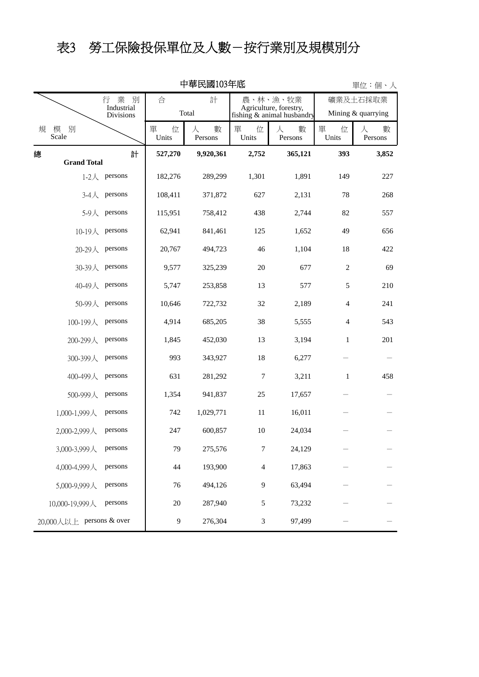# 表3 勞工保險投保單位及人數-按行業別及規模別分

|                          | 中華民國103年底          |                                     |                 |                   |                                    |                            |                 | 單位:個、人             |  |  |
|--------------------------|--------------------|-------------------------------------|-----------------|-------------------|------------------------------------|----------------------------|-----------------|--------------------|--|--|
|                          |                    | 業<br>別<br>合<br>計<br>行<br>Industrial |                 |                   | 農、林、漁、牧業<br>Agriculture, forestry, |                            | 礦業及土石採取業        |                    |  |  |
|                          |                    | <b>Divisions</b>                    |                 | Total             |                                    | fishing & animal husbandry |                 | Mining & quarrying |  |  |
| 規                        | 模<br>別<br>Scale    |                                     | 單<br>位<br>Units | 數<br>人<br>Persons | 單<br>位<br>Units                    | 數<br>Л<br>Persons          | 單<br>位<br>Units | 數<br>人<br>Persons  |  |  |
| 總                        | <b>Grand Total</b> | 計                                   | 527,270         | 9,920,361         | 2,752                              | 365,121                    | 393             | 3,852              |  |  |
|                          |                    | 1-2 $\lambda$ persons               | 182,276         | 289,299           | 1,301                              | 1,891                      | 149             | 227                |  |  |
|                          | $3-4$ 人            | persons                             | 108,411         | 371,872           | 627                                | 2,131                      | 78              | 268                |  |  |
|                          | 5-9人               | persons                             | 115,951         | 758,412           | 438                                | 2,744                      | 82              | 557                |  |  |
|                          |                    | 10-19人 persons                      | 62,941          | 841,461           | 125                                | 1,652                      | 49              | 656                |  |  |
|                          |                    | 20-29人 persons                      | 20,767          | 494,723           | 46                                 | 1,104                      | 18              | 422                |  |  |
|                          |                    | 30-39人 persons                      | 9,577           | 325,239           | 20                                 | 677                        | $\sqrt{2}$      | 69                 |  |  |
|                          | 40-49人 persons     |                                     | 5,747           | 253,858           | 13                                 | 577                        | 5               | 210                |  |  |
|                          | 50-99人             | persons                             | 10,646          | 722,732           | 32                                 | 2,189                      | 4               | 241                |  |  |
|                          | 100-199人           | persons                             | 4,914           | 685,205           | 38                                 | 5,555                      | 4               | 543                |  |  |
|                          | 200-299人           | persons                             | 1,845           | 452,030           | 13                                 | 3,194                      | $\mathbf{1}$    | 201                |  |  |
|                          | 300-399人           | persons                             | 993             | 343,927           | 18                                 | 6,277                      |                 |                    |  |  |
|                          | 400-499人           | persons                             | 631             | 281,292           | 7                                  | 3,211                      | $\mathbf{1}$    | 458                |  |  |
|                          | 500-999人           | persons                             | 1,354           | 941,837           | 25                                 | 17,657                     |                 |                    |  |  |
|                          | 1,000-1,999人       | persons                             | 742             | 1,029,771         | 11                                 | 16,011                     |                 |                    |  |  |
|                          | 2,000-2,999人       | persons                             | 247             | 600,857           | $10\,$                             | 24,034                     |                 |                    |  |  |
|                          | 3,000-3,999人       | persons                             | 79              | 275,576           | $\boldsymbol{7}$                   | 24,129                     |                 |                    |  |  |
|                          | 4,000-4,999人       | persons                             | 44              | 193,900           | $\overline{4}$                     | 17,863                     |                 |                    |  |  |
|                          | 5,000-9,999人       | persons                             | $76\,$          | 494,126           | 9                                  | 63,494                     |                 |                    |  |  |
|                          | 10,000-19,999人     | persons                             | $20\,$          | 287,940           | 5                                  | 73,232                     |                 |                    |  |  |
| 20,000人以上 persons & over |                    | 9                                   | 276,304         | 3                 | 97,499                             |                            |                 |                    |  |  |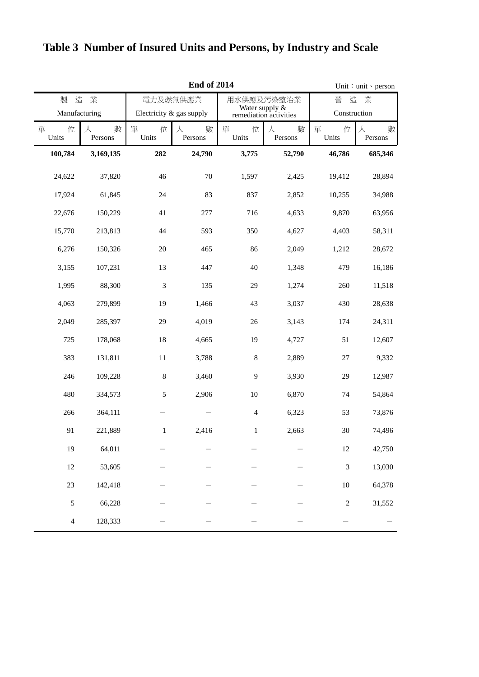|                 | <b>End of 2014</b> |                          |                   |                                          |                   |                 | Unit: unit · person |  |
|-----------------|--------------------|--------------------------|-------------------|------------------------------------------|-------------------|-----------------|---------------------|--|
| 製<br>造          | 業                  |                          | 電力及燃氣供應業          | 用水供應及污染整治業                               |                   | 造<br>營<br>業     |                     |  |
| Manufacturing   |                    | Electricity & gas supply |                   | Water supply &<br>remediation activities |                   | Construction    |                     |  |
| 單<br>位<br>Units | 數<br>人<br>Persons  | 單<br>位<br>Units          | 數<br>人<br>Persons | 單<br>位<br>Units                          | 數<br>人<br>Persons | 單<br>位<br>Units | 數<br>人<br>Persons   |  |
| 100,784         | 3,169,135          | 282                      | 24,790            | 3,775                                    | 52,790            | 46,786          | 685,346             |  |
| 24,622          | 37,820             | 46                       | 70                | 1,597                                    | 2,425             | 19,412          | 28,894              |  |
| 17,924          | 61,845             | 24                       | 83                | 837                                      | 2,852             | 10,255          | 34,988              |  |
| 22,676          | 150,229            | 41                       | 277               | 716                                      | 4,633             | 9,870           | 63,956              |  |
| 15,770          | 213,813            | 44                       | 593               | 350                                      | 4,627             | 4,403           | 58,311              |  |
| 6,276           | 150,326            | $20\,$                   | 465               | 86                                       | 2,049             | 1,212           | 28,672              |  |
| 3,155           | 107,231            | 13                       | 447               | 40                                       | 1,348             | 479             | 16,186              |  |
| 1,995           | 88,300             | 3                        | 135               | 29                                       | 1,274             | 260             | 11,518              |  |
| 4,063           | 279,899            | 19                       | 1,466             | 43                                       | 3,037             | 430             | 28,638              |  |
| 2,049           | 285,397            | 29                       | 4,019             | 26                                       | 3,143             | 174             | 24,311              |  |
| 725             | 178,068            | 18                       | 4,665             | 19                                       | 4,727             | 51              | 12,607              |  |
| 383             | 131,811            | 11                       | 3,788             | $\,8\,$                                  | 2,889             | 27              | 9,332               |  |
| 246             | 109,228            | $\,$ 8 $\,$              | 3,460             | $\mathbf{9}$                             | 3,930             | 29              | 12,987              |  |
| 480             | 334,573            | 5                        | 2,906             | 10                                       | 6,870             | 74              | 54,864              |  |
| 266             | 364,111            |                          |                   | $\overline{4}$                           | 6,323             | 53              | 73,876              |  |
| 91              | 221,889            | $\mathbf{1}$             | 2,416             | $\mathbf{1}$                             | 2,663             | 30              | 74,496              |  |
| 19              | 64,011             |                          |                   |                                          |                   | $12\,$          | 42,750              |  |
| 12              | 53,605             |                          |                   |                                          |                   | $\overline{3}$  | 13,030              |  |
| 23              | 142,418            |                          |                   |                                          |                   | $10\,$          | 64,378              |  |
| 5               | 66,228             |                          |                   |                                          |                   | $\overline{c}$  | 31,552              |  |
| $\overline{4}$  | 128,333            |                          |                   |                                          |                   |                 |                     |  |

### **Table 3 Number of Insured Units and Persons, by Industry and Scale**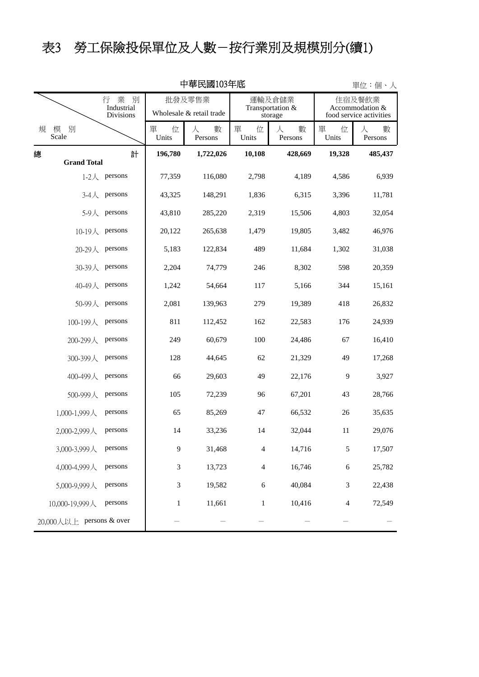# 表3 勞工保險投保單位及人數-按行業別及規模別分(續1)

|   | 甲華民國103年低                |                                        |                                    |                   |                                       |                   |                                                      | 單位:個、人            |
|---|--------------------------|----------------------------------------|------------------------------------|-------------------|---------------------------------------|-------------------|------------------------------------------------------|-------------------|
|   |                          | 業<br>別<br>行<br>Industrial<br>Divisions | 批發及零售業<br>Wholesale & retail trade |                   | 運輸及倉儲業<br>Transportation &<br>storage |                   | 住宿及餐飲業<br>Accommodation &<br>food service activities |                   |
| 規 | 模<br>別<br>Scale          |                                        | 單<br>位<br>Units                    | 數<br>人<br>Persons | 單<br>位<br>Units                       | 數<br>人<br>Persons | 位<br>單<br>Units                                      | 數<br>人<br>Persons |
| 總 |                          | 計                                      | 196,780                            | 1,722,026         | 10,108                                | 428,669           | 19,328                                               | 485,437           |
|   | <b>Grand Total</b>       |                                        |                                    |                   |                                       |                   |                                                      |                   |
|   | $1-2$ 人                  | persons                                | 77,359                             | 116,080           | 2,798                                 | 4,189             | 4,586                                                | 6,939             |
|   | $3-4$ 人                  | persons                                | 43,325                             | 148,291           | 1,836                                 | 6,315             | 3,396                                                | 11,781            |
|   | 5-9人                     | persons                                | 43,810                             | 285,220           | 2,319                                 | 15,506            | 4,803                                                | 32,054            |
|   | $10-19$ 人                | persons                                | 20,122                             | 265,638           | 1,479                                 | 19,805            | 3,482                                                | 46,976            |
|   | $20-29$ 人                | persons                                | 5,183                              | 122,834           | 489                                   | 11,684            | 1,302                                                | 31,038            |
|   | $30 - 39$ $\lambda$      | persons                                | 2,204                              | 74,779            | 246                                   | 8,302             | 598                                                  | 20,359            |
|   | 40-49人                   | persons                                | 1,242                              | 54,664            | 117                                   | 5,166             | 344                                                  | 15,161            |
|   | 50-99人                   | persons                                | 2,081                              | 139,963           | 279                                   | 19,389            | 418                                                  | 26,832            |
|   | 100-199人                 | persons                                | 811                                | 112,452           | 162                                   | 22,583            | 176                                                  | 24,939            |
|   | 200-299人                 | persons                                | 249                                | 60,679            | 100                                   | 24,486            | 67                                                   | 16,410            |
|   | 300-399人                 | persons                                | 128                                | 44,645            | 62                                    | 21,329            | 49                                                   | 17,268            |
|   | 400-499人                 | persons                                | 66                                 | 29,603            | 49                                    | 22,176            | 9                                                    | 3,927             |
|   | 500-999人                 | persons                                | 105                                | 72,239            | 96                                    | 67,201            | 43                                                   | 28,766            |
|   | 1,000-1,999人             | persons                                | 65                                 | 85,269            | 47                                    | 66,532            | 26                                                   | 35,635            |
|   | 2,000-2,999人             | persons                                | 14                                 | 33,236            | 14                                    | 32,044            | 11                                                   | 29,076            |
|   | 3,000-3,999人             | persons                                | $\mathbf{9}$                       | 31,468            | $\overline{4}$                        | 14,716            | $\mathfrak s$                                        | 17,507            |
|   | 4,000-4,999人             | persons                                | 3                                  | 13,723            | $\overline{4}$                        | 16,746            | $\sqrt{6}$                                           | 25,782            |
|   | 5,000-9,999人             | persons                                | 3                                  | 19,582            | $\sqrt{6}$                            | 40,084            | $\mathfrak{Z}$                                       | 22,438            |
|   | 10,000-19,999人           | persons                                | $\mathbf{1}$                       | 11,661            | $\mathbf{1}$                          | 10,416            | 4                                                    | 72,549            |
|   | 20,000人以上 persons & over |                                        |                                    |                   |                                       |                   |                                                      |                   |

中華民國103年底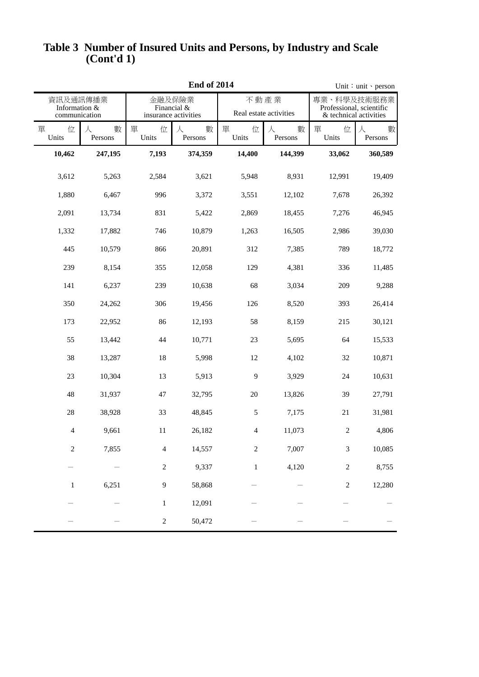#### **(Cont'd 1) Table 3 Number of Insured Units and Persons, by Industry and Scale**

|                                            | <b>End of 2014</b> |                                               |                   |                                |                   |                                                                   | Unit: unit · person |  |
|--------------------------------------------|--------------------|-----------------------------------------------|-------------------|--------------------------------|-------------------|-------------------------------------------------------------------|---------------------|--|
| 資訊及通訊傳播業<br>Information &<br>communication |                    | 金融及保險業<br>Financial &<br>insurance activities |                   | 不動產業<br>Real estate activities |                   | 專業、科學及技術服務業<br>Professional, scientific<br>& technical activities |                     |  |
| 單<br>位<br>Units                            | 數<br>人<br>Persons  | 單<br>位<br>Units                               | 數<br>人<br>Persons | 單<br>位<br>Units                | 數<br>人<br>Persons | 單<br>位<br>Units                                                   | 數<br>人<br>Persons   |  |
| 10,462                                     | 247,195            | 7,193                                         | 374,359           | 14,400                         | 144,399           | 33,062                                                            | 360,589             |  |
| 3,612                                      | 5,263              | 2,584                                         | 3,621             | 5,948                          | 8,931             | 12,991                                                            | 19,409              |  |
| 1,880                                      | 6,467              | 996                                           | 3,372             | 3,551                          | 12,102            | 7,678                                                             | 26,392              |  |
| 2,091                                      | 13,734             | 831                                           | 5,422             | 2,869                          | 18,455            | 7,276                                                             | 46,945              |  |
| 1,332                                      | 17,882             | 746                                           | 10,879            | 1,263                          | 16,505            | 2,986                                                             | 39,030              |  |
| 445                                        | 10,579             | 866                                           | 20,891            | 312                            | 7,385             | 789                                                               | 18,772              |  |
| 239                                        | 8,154              | 355                                           | 12,058            | 129                            | 4,381             | 336                                                               | 11,485              |  |
| 141                                        | 6,237              | 239                                           | 10,638            | 68                             | 3,034             | 209                                                               | 9,288               |  |
| 350                                        | 24,262             | 306                                           | 19,456            | 126                            | 8,520             | 393                                                               | 26,414              |  |
| 173                                        | 22,952             | 86                                            | 12,193            | 58                             | 8,159             | 215                                                               | 30,121              |  |
| 55                                         | 13,442             | 44                                            | 10,771            | 23                             | 5,695             | 64                                                                | 15,533              |  |
| 38                                         | 13,287             | 18                                            | 5,998             | 12                             | 4,102             | 32                                                                | 10,871              |  |
| 23                                         | 10,304             | 13                                            | 5,913             | 9                              | 3,929             | 24                                                                | 10,631              |  |
| 48                                         | 31,937             | 47                                            | 32,795            | 20                             | 13,826            | 39                                                                | 27,791              |  |
| 28                                         | 38,928             | 33                                            | 48,845            | 5                              | 7,175             | 21                                                                | 31,981              |  |
| 4                                          | 9,661              | 11                                            | 26,182            | $\overline{4}$                 | 11,073            | $\overline{c}$                                                    | 4,806               |  |
| $\sqrt{2}$                                 | 7,855              | 4                                             | 14,557            | $\sqrt{2}$                     | 7,007             | $\ensuremath{\mathfrak{Z}}$                                       | 10,085              |  |
|                                            |                    | $\overline{c}$                                | 9,337             | $\mathbf{1}$                   | 4,120             | $\sqrt{2}$                                                        | 8,755               |  |
| $\mathbf{1}$                               | 6,251              | 9                                             | 58,868            |                                |                   | $\sqrt{2}$                                                        | 12,280              |  |
|                                            |                    | $\mathbf{1}$                                  | 12,091            |                                |                   |                                                                   |                     |  |
|                                            |                    | $\overline{c}$                                | 50,472            |                                |                   |                                                                   |                     |  |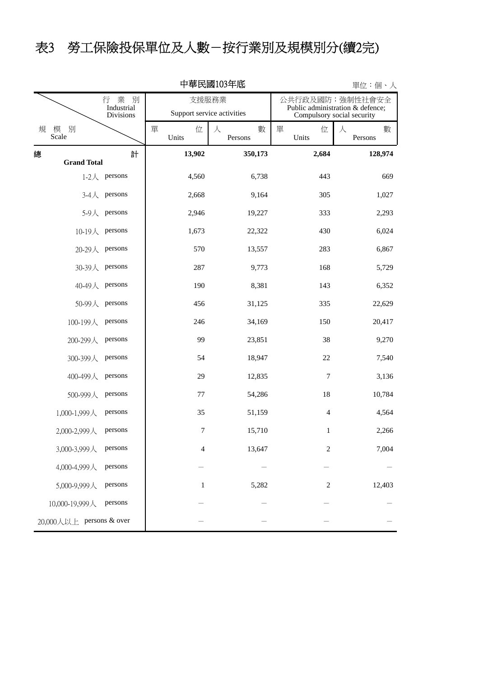## 表3 勞工保險投保單位及人數-按行業別及規模別分(續2完)

|   | 中華民國103年底<br>單位:個、人      |                                            |                 |                            |                                                                                   |                   |  |  |  |
|---|--------------------------|--------------------------------------------|-----------------|----------------------------|-----------------------------------------------------------------------------------|-------------------|--|--|--|
|   |                          | 行 業<br>別<br>Industrial<br><b>Divisions</b> | 支援服務業           | Support service activities | 公共行政及國防;強制性社會安全<br>Public administration & defence;<br>Compulsory social security |                   |  |  |  |
| 規 | 模<br>別<br>Scale          |                                            | 單<br>位<br>Units | 人<br>數<br>Persons          | 單<br>位<br>Units                                                                   | 數<br>人<br>Persons |  |  |  |
| 總 |                          | 計                                          | 13,902          | 350,173                    | 2,684                                                                             | 128,974           |  |  |  |
|   | <b>Grand Total</b>       | 1-2 $\lambda$ persons                      | 4,560           | 6,738                      | 443                                                                               | 669               |  |  |  |
|   | $3-4$ 人                  | persons                                    | 2,668           | 9,164                      | 305                                                                               | 1,027             |  |  |  |
|   | $5-9$ 人                  | persons                                    | 2,946           | 19,227                     | 333                                                                               | 2,293             |  |  |  |
|   | 10-19 $\lambda$ persons  |                                            | 1,673           | 22,322                     | 430                                                                               | 6,024             |  |  |  |
|   | 20-29人 persons           |                                            | 570             | 13,557                     | 283                                                                               | 6,867             |  |  |  |
|   | 30-39人                   | persons                                    | 287             | 9,773                      | 168                                                                               | 5,729             |  |  |  |
|   | 40-49人 persons           |                                            | 190             | 8,381                      | 143                                                                               | 6,352             |  |  |  |
|   | 50-99人 persons           |                                            | 456             | 31,125                     | 335                                                                               | 22,629            |  |  |  |
|   | 100-199人                 | persons                                    | 246             | 34,169                     | 150                                                                               | 20,417            |  |  |  |
|   | 200-299人                 | persons                                    | 99              | 23,851                     | 38                                                                                | 9,270             |  |  |  |
|   | 300-399人                 | persons                                    | 54              | 18,947                     | 22                                                                                | 7,540             |  |  |  |
|   | 400-499人                 | persons                                    | 29              | 12,835                     | $\tau$                                                                            | 3,136             |  |  |  |
|   | 500-999人                 | persons                                    | 77              | 54,286                     | 18                                                                                | 10,784            |  |  |  |
|   | 1,000-1,999人             | persons                                    | 35              | 51,159                     | $\overline{4}$                                                                    | 4,564             |  |  |  |
|   | 2,000-2,999人             | persons                                    | 7               | 15,710                     | $\mathbf{1}$                                                                      | 2,266             |  |  |  |
|   | 3,000-3,999人             | persons                                    | 4               | 13,647                     | $\sqrt{2}$                                                                        | 7,004             |  |  |  |
|   | 4,000-4,999人             | persons                                    |                 |                            |                                                                                   |                   |  |  |  |
|   | 5,000-9,999人             | persons                                    | $\mathbf{1}$    | 5,282                      | $\overline{c}$                                                                    | 12,403            |  |  |  |
|   | 10,000-19,999人           | persons                                    |                 |                            |                                                                                   |                   |  |  |  |
|   | 20,000人以上 persons & over |                                            |                 |                            |                                                                                   |                   |  |  |  |

#### 中華民國103年底